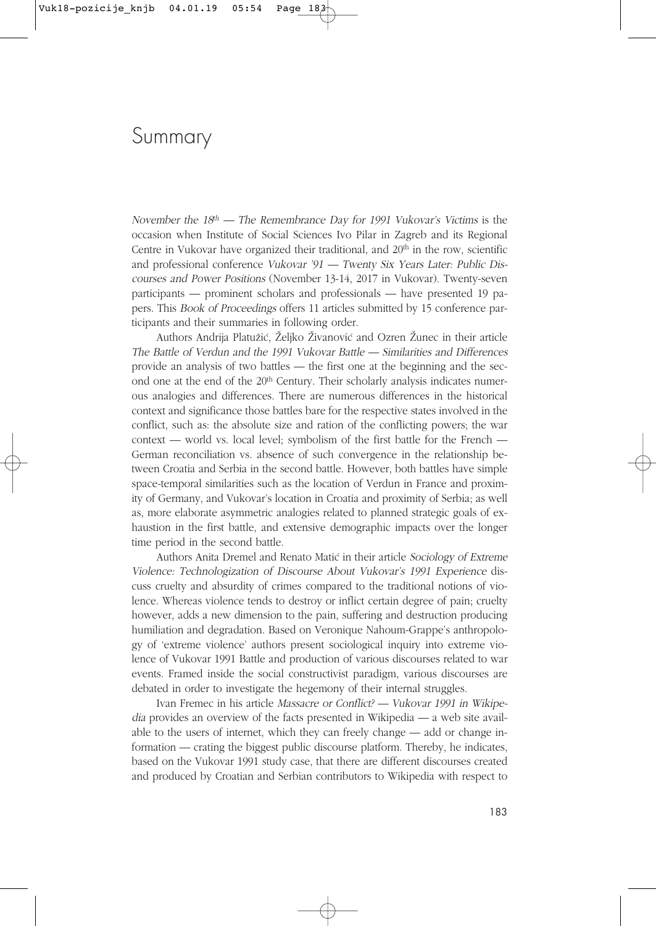## Summary

November the  $18<sup>th</sup>$  — The Remembrance Day for 1991 Vukovar's Victims is the occasion when Institute of Social Sciences Ivo Pilar in Zagreb and its Regional Centre in Vukovar have organized their traditional, and  $20<sup>th</sup>$  in the row, scientific and professional conference Vukovar '91 — Twenty Six Years Later: Public Discourses and Power Positions (November 13-14, 2017 in Vukovar). Twenty-seven participants — prominent scholars and professionals — have presented 19 papers. This Book of Proceedings offers 11 articles submitted by 15 conference participants and their summaries in following order.

Authors Andrija Platužić, Željko Živanović and Ozren Žunec in their article The Battle of Verdun and the 1991 Vukovar Battle — Similarities and Differences provide an analysis of two battles — the first one at the beginning and the second one at the end of the 20<sup>th</sup> Century. Their scholarly analysis indicates numerous analogies and differences. There are numerous differences in the historical context and significance those battles bare for the respective states involved in the conflict, such as: the absolute size and ration of the conflicting powers; the war context — world vs. local level; symbolism of the first battle for the French — German reconciliation vs. absence of such convergence in the relationship between Croatia and Serbia in the second battle. However, both battles have simple space-temporal similarities such as the location of Verdun in France and proximity of Germany, and Vukovar's location in Croatia and proximity of Serbia; as well as, more elaborate asymmetric analogies related to planned strategic goals of exhaustion in the first battle, and extensive demographic impacts over the longer time period in the second battle.

Authors Anita Dremel and Renato Matić in their article Sociology of Extreme Violence: Technologization of Discourse About Vukovar's 1991 Experience discuss cruelty and absurdity of crimes compared to the traditional notions of violence. Whereas violence tends to destroy or inflict certain degree of pain; cruelty however, adds a new dimension to the pain, suffering and destruction producing humiliation and degradation. Based on Veronique Nahoum-Grappe's anthropology of 'extreme violence' authors present sociological inquiry into extreme violence of Vukovar 1991 Battle and production of various discourses related to war events. Framed inside the social constructivist paradigm, various discourses are debated in order to investigate the hegemony of their internal struggles.

Ivan Fremec in his article Massacre or Conflict? — Vukovar 1991 in Wikipedia provides an overview of the facts presented in Wikipedia — a web site available to the users of internet, which they can freely change — add or change information — crating the biggest public discourse platform. Thereby, he indicates, based on the Vukovar 1991 study case, that there are different discourses created and produced by Croatian and Serbian contributors to Wikipedia with respect to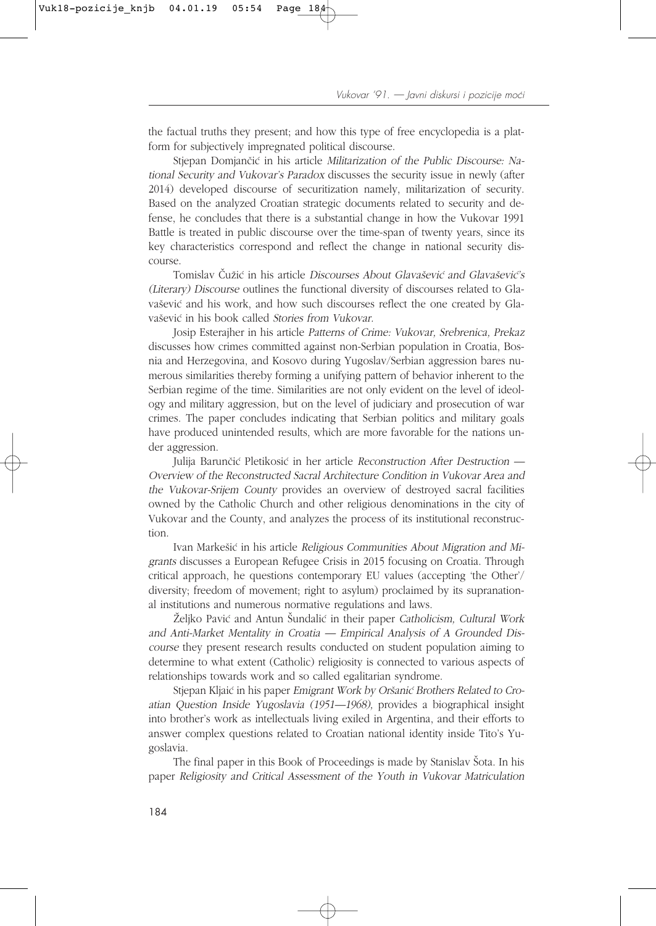the factual truths they present; and how this type of free encyclopedia is a platform for subjectively impregnated political discourse.

Stjepan Domjančić in his article Militarization of the Public Discourse: National Security and Vukovar's Paradox discusses the security issue in newly (after 2014) developed discourse of securitization namely, militarization of security. Based on the analyzed Croatian strategic documents related to security and defense, he concludes that there is a substantial change in how the Vukovar 1991 Battle is treated in public discourse over the time-span of twenty years, since its key characteristics correspond and reflect the change in national security discourse.

Tomislav Čužić in his article Discourses About Glavašević and Glavašević's (Literary) Discourse outlines the functional diversity of discourses related to Glavašević and his work, and how such discourses reflect the one created by Glavašević in his book called Stories from Vukovar.

Josip Esterajher in his article Patterns of Crime: Vukovar, Srebrenica, Prekaz discusses how crimes committed against non-Serbian population in Croatia, Bosnia and Herzegovina, and Kosovo during Yugoslav/Serbian aggression bares numerous similarities thereby forming a unifying pattern of behavior inherent to the Serbian regime of the time. Similarities are not only evident on the level of ideology and military aggression, but on the level of judiciary and prosecution of war crimes. The paper concludes indicating that Serbian politics and military goals have produced unintended results, which are more favorable for the nations under aggression.

Julija Barunčić Pletikosić in her article Reconstruction After Destruction — Overview of the Reconstructed Sacral Architecture Condition in Vukovar Area and the Vukovar-Srijem County provides an overview of destroyed sacral facilities owned by the Catholic Church and other religious denominations in the city of Vukovar and the County, and analyzes the process of its institutional reconstruction.

Ivan Markešić in his article Religious Communities About Migration and Migrants discusses a European Refugee Crisis in 2015 focusing on Croatia. Through critical approach, he questions contemporary EU values (accepting 'the Other'/ diversity; freedom of movement; right to asylum) proclaimed by its supranational institutions and numerous normative regulations and laws.

Željko Pavić and Antun Šundalić in their paper Catholicism, Cultural Work and Anti-Market Mentality in Croatia — Empirical Analysis of A Grounded Discourse they present research results conducted on student population aiming to determine to what extent (Catholic) religiosity is connected to various aspects of relationships towards work and so called egalitarian syndrome.

Stjepan Kljaić in his paper Emigrant Work by Oršanić Brothers Related to Croatian Question Inside Yugoslavia (1951—1968), provides a biographical insight into brother's work as intellectuals living exiled in Argentina, and their efforts to answer complex questions related to Croatian national identity inside Tito's Yugoslavia.

The final paper in this Book of Proceedings is made by Stanislav Šota. In his paper Religiosity and Critical Assessment of the Youth in Vukovar Matriculation